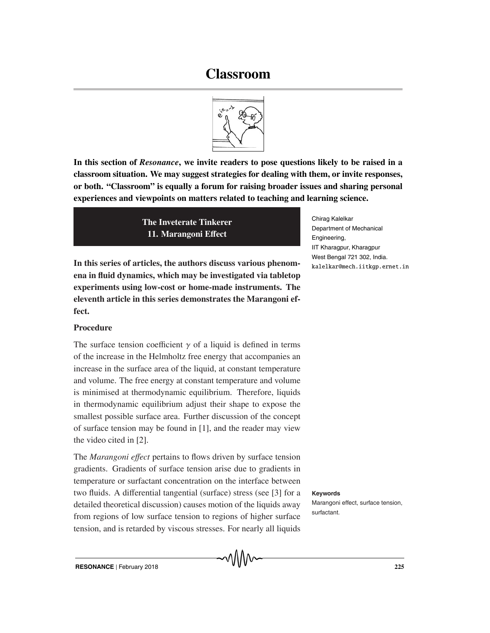# **Classroom**



**In this section of** *Resonance***, we invite readers to pose questions likely to be raised in a classroom situation. We may suggest strategies for dealing with them, or invite responses, or both. "Classroom" is equally a forum for raising broader issues and sharing personal experiences and viewpoints on matters related to teaching and learning science.**

> **The Inveterate Tinkerer 11. Marangoni E**ff**ect**

**In this series of articles, the authors discuss various phenomena in fluid dynamics, which may be investigated via tabletop experiments using low-cost or home-made instruments. The eleventh article in this series demonstrates the Marangoni effect.**

# **Procedure**

The surface tension coefficient  $\gamma$  of a liquid is defined in terms of the increase in the Helmholtz free energy that accompanies an increase in the surface area of the liquid, at constant temperature and volume. The free energy at constant temperature and volume is minimised at thermodynamic equilibrium. Therefore, liquids in thermodynamic equilibrium adjust their shape to expose the smallest possible surface area. Further discussion of the concept of surface tension may be found in [1], and the reader may view the video cited in [2].

The *Marangoni e*ff*ect* pertains to flows driven by surface tension gradients. Gradients of surface tension arise due to gradients in temperature or surfactant concentration on the interface between two fluids. A differential tangential (surface) stress (see [3] for a **Keywords** detailed theoretical discussion) causes motion of the liquids away from regions of low surface tension to regions of higher surface tension, and is retarded by viscous stresses. For nearly all liquids

Chirag Kalelkar Department of Mechanical Engineering, IIT Kharagpur, Kharagpur West Bengal 721 302, India. kalelkar@mech.iitkgp.ernet.in

Marangoni effect, surface tension, surfactant.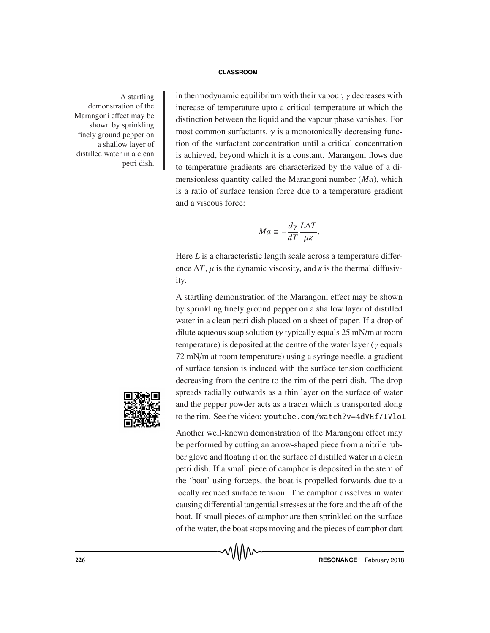demonstration of the Marangoni effect may be shown by sprinkling finely ground pepper on a shallow layer of distilled water in a clean petri dish.

A startling in thermodynamic equilibrium with their vapour,  $\gamma$  decreases with increase of temperature upto a critical temperature at which the distinction between the liquid and the vapour phase vanishes. For most common surfactants,  $\gamma$  is a monotonically decreasing function of the surfactant concentration until a critical concentration is achieved, beyond which it is a constant. Marangoni flows due to temperature gradients are characterized by the value of a dimensionless quantity called the Marangoni number (*Ma*), which is a ratio of surface tension force due to a temperature gradient and a viscous force:

$$
Ma \equiv -\frac{d\gamma}{dT} \frac{L\Delta T}{\mu\kappa}.
$$

Here *L* is a characteristic length scale across a temperature difference  $\Delta T$ ,  $\mu$  is the dynamic viscosity, and  $\kappa$  is the thermal diffusivity.

A startling demonstration of the Marangoni effect may be shown by sprinkling finely ground pepper on a shallow layer of distilled water in a clean petri dish placed on a sheet of paper. If a drop of dilute aqueous soap solution ( $\gamma$  typically equals 25 mN/m at room temperature) is deposited at the centre of the water layer ( $\gamma$  equals 72 mN/m at room temperature) using a syringe needle, a gradient of surface tension is induced with the surface tension coefficient decreasing from the centre to the rim of the petri dish. The drop spreads radially outwards as a thin layer on the surface of water and the pepper powder acts as a tracer which is transported along to the rim. See the video: youtube.com/watch?v=4dVHf7IVloI



Another well-known demonstration of the Marangoni effect may be performed by cutting an arrow-shaped piece from a nitrile rubber glove and floating it on the surface of distilled water in a clean petri dish. If a small piece of camphor is deposited in the stern of the 'boat' using forceps, the boat is propelled forwards due to a locally reduced surface tension. The camphor dissolves in water causing differential tangential stresses at the fore and the aft of the boat. If small pieces of camphor are then sprinkled on the surface of the water, the boat stops moving and the pieces of camphor dart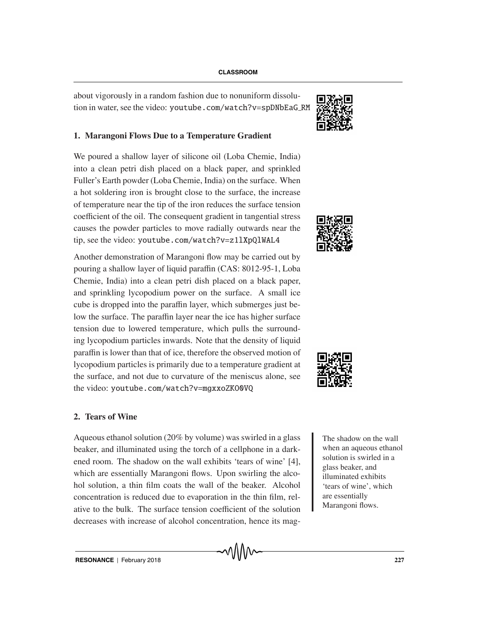about vigorously in a random fashion due to nonuniform dissolution in water, see the video: youtube.com/watch?v=spDNbEaG RM

## **1. Marangoni Flows Due to a Temperature Gradient**

We poured a shallow layer of silicone oil (Loba Chemie, India) into a clean petri dish placed on a black paper, and sprinkled Fuller's Earth powder (Loba Chemie, India) on the surface. When a hot soldering iron is brought close to the surface, the increase of temperature near the tip of the iron reduces the surface tension coefficient of the oil. The consequent gradient in tangential stress causes the powder particles to move radially outwards near the tip, see the video: youtube.com/watch?v=z1lXpQlWAL4

Another demonstration of Marangoni flow may be carried out by pouring a shallow layer of liquid paraffin (CAS: 8012-95-1, Loba Chemie, India) into a clean petri dish placed on a black paper, and sprinkling lycopodium power on the surface. A small ice cube is dropped into the paraffin layer, which submerges just below the surface. The paraffin layer near the ice has higher surface tension due to lowered temperature, which pulls the surrounding lycopodium particles inwards. Note that the density of liquid paraffin is lower than that of ice, therefore the observed motion of lycopodium particles is primarily due to a temperature gradient at the surface, and not due to curvature of the meniscus alone, see the video: youtube.com/watch?v=mgxxoZKO0VQ

### **2. Tears of Wine**

Aqueous ethanol solution (20% by volume) was swirled in a glass  $\blacksquare$  The shadow on the wall beaker, and illuminated using the torch of a cellphone in a darkened room. The shadow on the wall exhibits 'tears of wine' [4], which are essentially Marangoni flows. Upon swirling the alcohol solution, a thin film coats the wall of the beaker. Alcohol concentration is reduced due to evaporation in the thin film, relative to the bulk. The surface tension coefficient of the solution decreases with increase of alcohol concentration, hence its mag-







when an aqueous ethanol solution is swirled in a glass beaker, and illuminated exhibits 'tears of wine', which are essentially Marangoni flows.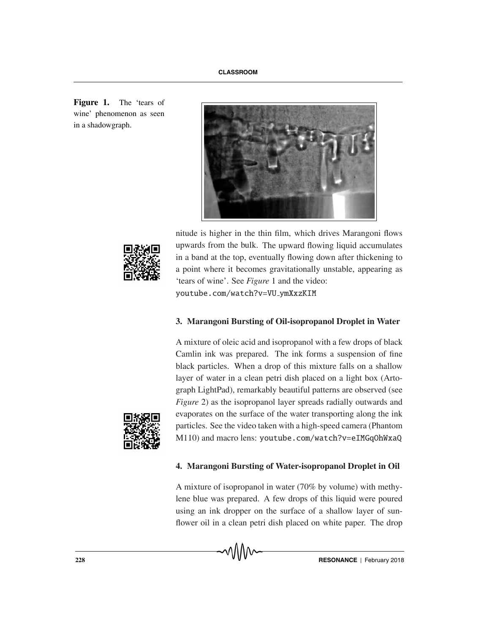**Figure 1.** The 'tears of wine' phenomenon as seen in a shadowgraph.





nitude is higher in the thin film, which drives Marangoni flows upwards from the bulk. The upward flowing liquid accumulates in a band at the top, eventually flowing down after thickening to a point where it becomes gravitationally unstable, appearing as 'tears of wine'. See *Figure* 1 and the video: youtube.com/watch?v=VU ymXxzKIM

#### **3. Marangoni Bursting of Oil-isopropanol Droplet in Water**

A mixture of oleic acid and isopropanol with a few drops of black Camlin ink was prepared. The ink forms a suspension of fine black particles. When a drop of this mixture falls on a shallow layer of water in a clean petri dish placed on a light box (Artograph LightPad), remarkably beautiful patterns are observed (see *Figure* 2) as the isopropanol layer spreads radially outwards and evaporates on the surface of the water transporting along the ink particles. See the video taken with a high-speed camera (Phantom M110) and macro lens: youtube.com/watch?v=eIMGqOhWxaQ



#### **4. Marangoni Bursting of Water-isopropanol Droplet in Oil**

A mixture of isopropanol in water (70% by volume) with methylene blue was prepared. A few drops of this liquid were poured using an ink dropper on the surface of a shallow layer of sunflower oil in a clean petri dish placed on white paper. The drop

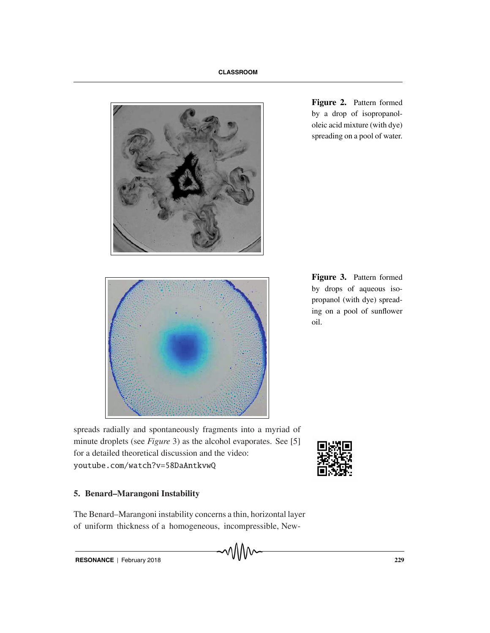

**Figure 2.** Pattern formed by a drop of isopropanololeic acid mixture (with dye) spreading on a pool of water.



**Figure 3.** Pattern formed by drops of aqueous isopropanol (with dye) spreading on a pool of sunflower oil.

spreads radially and spontaneously fragments into a myriad of minute droplets (see *Figure* 3) as the alcohol evaporates. See [5] for a detailed theoretical discussion and the video: youtube.com/watch?v=58DaAntkvwQ



### **5. Benard–Marangoni Instability**

The Benard–Marangoni instability concerns a thin, horizontal layer of uniform thickness of a homogeneous, incompressible, New-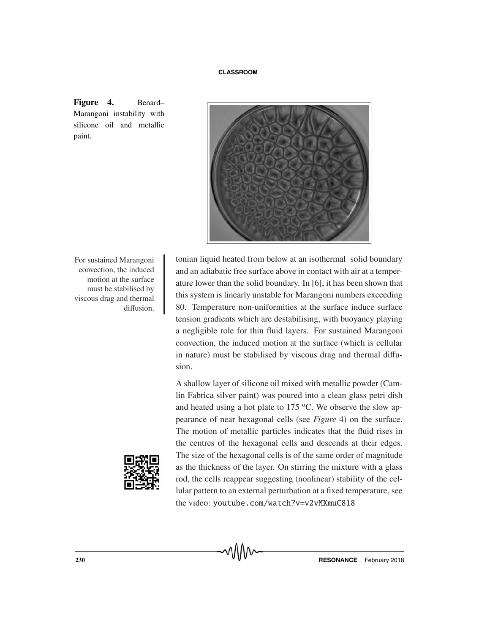

**Figure 4.** Benard– Marangoni instability with silicone oil and metallic paint.

convection, the induced motion at the surface must be stabilised by viscous drag and thermal diffusion.

For sustained Marangoni | tonian liquid heated from below at an isothermal solid boundary and an adiabatic free surface above in contact with air at a temperature lower than the solid boundary. In [6], it has been shown that this system is linearly unstable for Marangoni numbers exceeding 80. Temperature non-uniformities at the surface induce surface tension gradients which are destabilising, with buoyancy playing a negligible role for thin fluid layers. For sustained Marangoni convection, the induced motion at the surface (which is cellular in nature) must be stabilised by viscous drag and thermal diffusion.

> A shallow layer of silicone oil mixed with metallic powder (Camlin Fabrica silver paint) was poured into a clean glass petri dish and heated using a hot plate to  $175 \degree C$ . We observe the slow appearance of near hexagonal cells (see *Figure* 4) on the surface. The motion of metallic particles indicates that the fluid rises in the centres of the hexagonal cells and descends at their edges. The size of the hexagonal cells is of the same order of magnitude as the thickness of the layer. On stirring the mixture with a glass rod, the cells reappear suggesting (nonlinear) stability of the cellular pattern to an external perturbation at a fixed temperature, see the video: youtube.com/watch?v=v2vMXmuC818

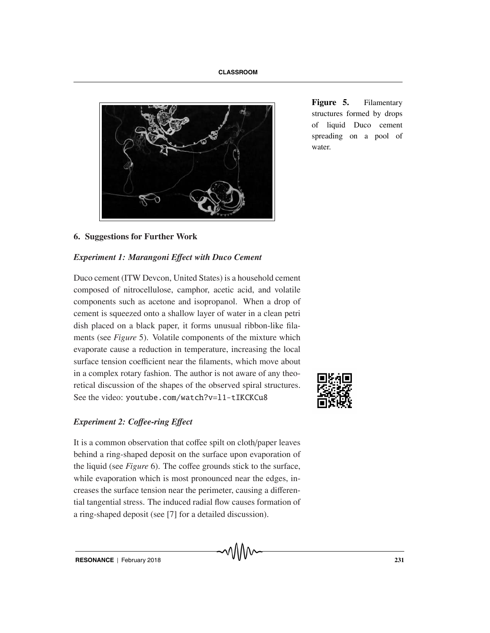

**Figure 5.** Filamentary structures formed by drops of liquid Duco cement spreading on a pool of water.

# **6. Suggestions for Further Work**

#### *Experiment 1: Marangoni E*ff*ect with Duco Cement*

Duco cement (ITW Devcon, United States) is a household cement composed of nitrocellulose, camphor, acetic acid, and volatile components such as acetone and isopropanol. When a drop of cement is squeezed onto a shallow layer of water in a clean petri dish placed on a black paper, it forms unusual ribbon-like filaments (see *Figure* 5). Volatile components of the mixture which evaporate cause a reduction in temperature, increasing the local surface tension coefficient near the filaments, which move about in a complex rotary fashion. The author is not aware of any theoretical discussion of the shapes of the observed spiral structures. See the video: youtube.com/watch?v=l1-tIKCKCu8

# *Experiment 2: Co*ff*ee-ring E*ff*ect*

It is a common observation that coffee spilt on cloth/paper leaves behind a ring-shaped deposit on the surface upon evaporation of the liquid (see *Figure* 6). The coffee grounds stick to the surface, while evaporation which is most pronounced near the edges, increases the surface tension near the perimeter, causing a differential tangential stress. The induced radial flow causes formation of a ring-shaped deposit (see [7] for a detailed discussion).

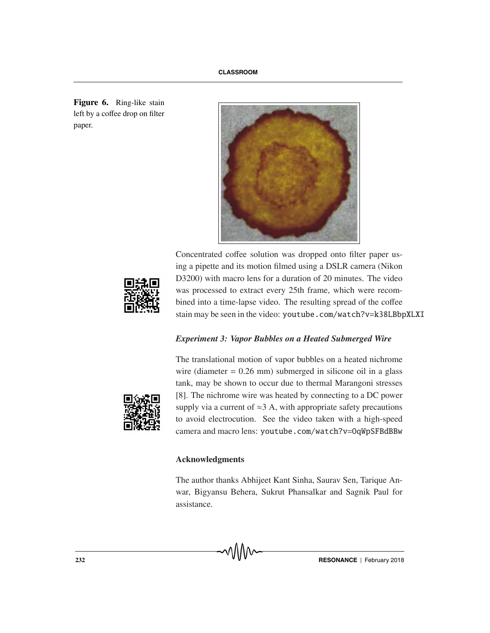**Figure 6.** Ring-like stain left by a coffee drop on filter paper.



Concentrated coffee solution was dropped onto filter paper using a pipette and its motion filmed using a DSLR camera (Nikon D3200) with macro lens for a duration of 20 minutes. The video was processed to extract every 25th frame, which were recombined into a time-lapse video. The resulting spread of the coffee stain may be seen in the video: youtube.com/watch?v=k38LBbpXLXI

### *Experiment 3: Vapor Bubbles on a Heated Submerged Wire*



The translational motion of vapor bubbles on a heated nichrome wire (diameter  $= 0.26$  mm) submerged in silicone oil in a glass tank, may be shown to occur due to thermal Marangoni stresses [8]. The nichrome wire was heated by connecting to a DC power supply via a current of  $\approx$ 3 A, with appropriate safety precautions to avoid electrocution. See the video taken with a high-speed camera and macro lens: youtube.com/watch?v=OqWpSFBdBBw

#### **Acknowledgments**

The author thanks Abhijeet Kant Sinha, Saurav Sen, Tarique Anwar, Bigyansu Behera, Sukrut Phansalkar and Sagnik Paul for assistance.